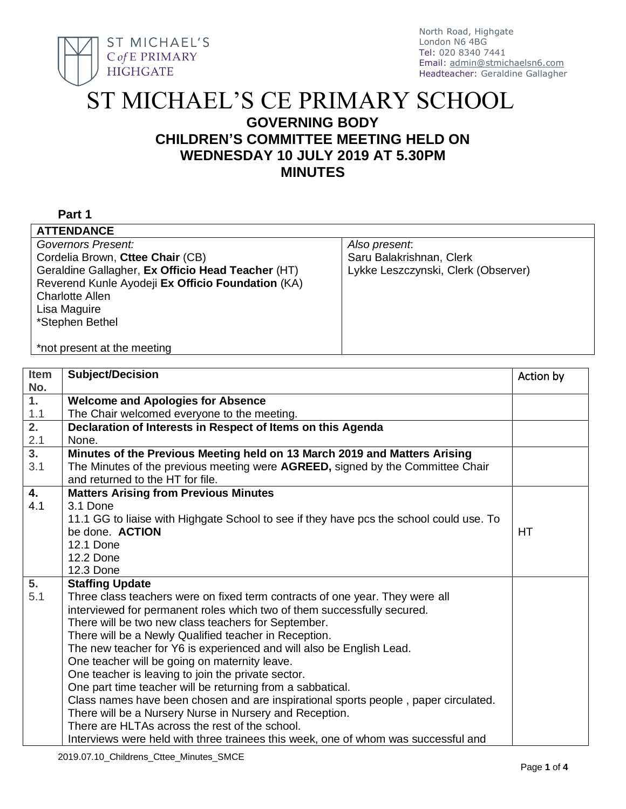

# ST MICHAEL'S CE PRIMARY SCHOOL

# **GOVERNING BODY CHILDREN'S COMMITTEE MEETING HELD ON WEDNESDAY 10 JULY 2019 AT 5.30PM MINUTES**

#### **Part 1**

| <b>ATTENDANCE</b>                                 |                                     |
|---------------------------------------------------|-------------------------------------|
| Governors Present:                                | Also present.                       |
| Cordelia Brown, Cttee Chair (CB)                  | Saru Balakrishnan, Clerk            |
| Geraldine Gallagher, Ex Officio Head Teacher (HT) | Lykke Leszczynski, Clerk (Observer) |
| Reverend Kunle Ayodeji Ex Officio Foundation (KA) |                                     |
| <b>Charlotte Allen</b>                            |                                     |
| Lisa Maguire                                      |                                     |
| *Stephen Bethel                                   |                                     |
|                                                   |                                     |
| *not present at the meeting                       |                                     |

| Item             | <b>Subject/Decision</b>                                                                 | Action by |
|------------------|-----------------------------------------------------------------------------------------|-----------|
| No.              |                                                                                         |           |
| $\overline{1}$ . | <b>Welcome and Apologies for Absence</b>                                                |           |
| 1.1              | The Chair welcomed everyone to the meeting.                                             |           |
| $\overline{2}$ . | Declaration of Interests in Respect of Items on this Agenda                             |           |
| 2.1              | None.                                                                                   |           |
| $\overline{3}$ . | Minutes of the Previous Meeting held on 13 March 2019 and Matters Arising               |           |
| 3.1              | The Minutes of the previous meeting were AGREED, signed by the Committee Chair          |           |
|                  | and returned to the HT for file.                                                        |           |
| 4.               | <b>Matters Arising from Previous Minutes</b>                                            |           |
| 4.1              | 3.1 Done                                                                                |           |
|                  | 11.1 GG to liaise with Highgate School to see if they have pcs the school could use. To |           |
|                  | be done. ACTION                                                                         | <b>HT</b> |
|                  | <b>12.1 Done</b>                                                                        |           |
|                  | <b>12.2 Done</b>                                                                        |           |
|                  | <b>12.3 Done</b>                                                                        |           |
| 5.               | <b>Staffing Update</b>                                                                  |           |
| 5.1              | Three class teachers were on fixed term contracts of one year. They were all            |           |
|                  | interviewed for permanent roles which two of them successfully secured.                 |           |
|                  | There will be two new class teachers for September.                                     |           |
|                  | There will be a Newly Qualified teacher in Reception.                                   |           |
|                  | The new teacher for Y6 is experienced and will also be English Lead.                    |           |
|                  | One teacher will be going on maternity leave.                                           |           |
|                  | One teacher is leaving to join the private sector.                                      |           |
|                  | One part time teacher will be returning from a sabbatical.                              |           |
|                  | Class names have been chosen and are inspirational sports people, paper circulated.     |           |
|                  | There will be a Nursery Nurse in Nursery and Reception.                                 |           |
|                  | There are HLTAs across the rest of the school.                                          |           |
|                  | Interviews were held with three trainees this week, one of whom was successful and      |           |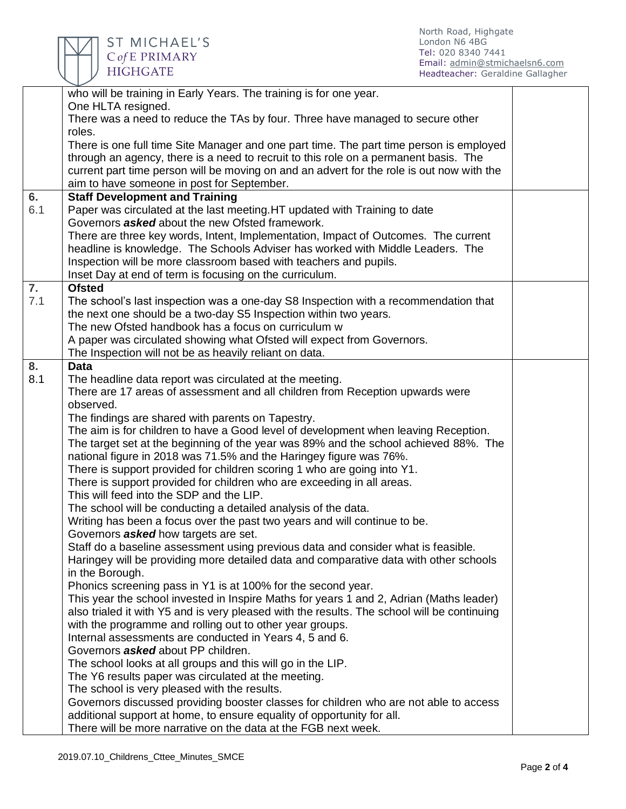

ST MICHAEL'S<br>CofE PRIMARY<br>HIGHGATE

| who will be training in Early Years. The training is for one year.<br>One HLTA resigned.<br>There was a need to reduce the TAs by four. Three have managed to secure other<br>roles.<br>There is one full time Site Manager and one part time. The part time person is employed<br>through an agency, there is a need to recruit to this role on a permanent basis. The<br>current part time person will be moving on and an advert for the role is out now with the |  |
|----------------------------------------------------------------------------------------------------------------------------------------------------------------------------------------------------------------------------------------------------------------------------------------------------------------------------------------------------------------------------------------------------------------------------------------------------------------------|--|
|                                                                                                                                                                                                                                                                                                                                                                                                                                                                      |  |
|                                                                                                                                                                                                                                                                                                                                                                                                                                                                      |  |
|                                                                                                                                                                                                                                                                                                                                                                                                                                                                      |  |
|                                                                                                                                                                                                                                                                                                                                                                                                                                                                      |  |
|                                                                                                                                                                                                                                                                                                                                                                                                                                                                      |  |
|                                                                                                                                                                                                                                                                                                                                                                                                                                                                      |  |
| aim to have someone in post for September.                                                                                                                                                                                                                                                                                                                                                                                                                           |  |
| 6.<br><b>Staff Development and Training</b>                                                                                                                                                                                                                                                                                                                                                                                                                          |  |
| 6.1<br>Paper was circulated at the last meeting. HT updated with Training to date                                                                                                                                                                                                                                                                                                                                                                                    |  |
| Governors <b>asked</b> about the new Ofsted framework.                                                                                                                                                                                                                                                                                                                                                                                                               |  |
| There are three key words, Intent, Implementation, Impact of Outcomes. The current                                                                                                                                                                                                                                                                                                                                                                                   |  |
| headline is knowledge. The Schools Adviser has worked with Middle Leaders. The                                                                                                                                                                                                                                                                                                                                                                                       |  |
| Inspection will be more classroom based with teachers and pupils.<br>Inset Day at end of term is focusing on the curriculum.                                                                                                                                                                                                                                                                                                                                         |  |
| 7.<br><b>Ofsted</b>                                                                                                                                                                                                                                                                                                                                                                                                                                                  |  |
| 7.1<br>The school's last inspection was a one-day S8 Inspection with a recommendation that                                                                                                                                                                                                                                                                                                                                                                           |  |
| the next one should be a two-day S5 Inspection within two years.                                                                                                                                                                                                                                                                                                                                                                                                     |  |
| The new Ofsted handbook has a focus on curriculum w                                                                                                                                                                                                                                                                                                                                                                                                                  |  |
| A paper was circulated showing what Ofsted will expect from Governors.                                                                                                                                                                                                                                                                                                                                                                                               |  |
| The Inspection will not be as heavily reliant on data.                                                                                                                                                                                                                                                                                                                                                                                                               |  |
| 8.<br><b>Data</b>                                                                                                                                                                                                                                                                                                                                                                                                                                                    |  |
| 8.1<br>The headline data report was circulated at the meeting.                                                                                                                                                                                                                                                                                                                                                                                                       |  |
| There are 17 areas of assessment and all children from Reception upwards were                                                                                                                                                                                                                                                                                                                                                                                        |  |
| observed.                                                                                                                                                                                                                                                                                                                                                                                                                                                            |  |
| The findings are shared with parents on Tapestry.                                                                                                                                                                                                                                                                                                                                                                                                                    |  |
|                                                                                                                                                                                                                                                                                                                                                                                                                                                                      |  |
| The aim is for children to have a Good level of development when leaving Reception.                                                                                                                                                                                                                                                                                                                                                                                  |  |
| The target set at the beginning of the year was 89% and the school achieved 88%. The                                                                                                                                                                                                                                                                                                                                                                                 |  |
| national figure in 2018 was 71.5% and the Haringey figure was 76%.                                                                                                                                                                                                                                                                                                                                                                                                   |  |
| There is support provided for children scoring 1 who are going into Y1.                                                                                                                                                                                                                                                                                                                                                                                              |  |
| There is support provided for children who are exceeding in all areas.                                                                                                                                                                                                                                                                                                                                                                                               |  |
| This will feed into the SDP and the LIP.                                                                                                                                                                                                                                                                                                                                                                                                                             |  |
| The school will be conducting a detailed analysis of the data.                                                                                                                                                                                                                                                                                                                                                                                                       |  |
| Writing has been a focus over the past two years and will continue to be.                                                                                                                                                                                                                                                                                                                                                                                            |  |
| Governors <b>asked</b> how targets are set.                                                                                                                                                                                                                                                                                                                                                                                                                          |  |
| Staff do a baseline assessment using previous data and consider what is feasible.                                                                                                                                                                                                                                                                                                                                                                                    |  |
| Haringey will be providing more detailed data and comparative data with other schools                                                                                                                                                                                                                                                                                                                                                                                |  |
| in the Borough.                                                                                                                                                                                                                                                                                                                                                                                                                                                      |  |
| Phonics screening pass in Y1 is at 100% for the second year.                                                                                                                                                                                                                                                                                                                                                                                                         |  |
| This year the school invested in Inspire Maths for years 1 and 2, Adrian (Maths leader)                                                                                                                                                                                                                                                                                                                                                                              |  |
| also trialed it with Y5 and is very pleased with the results. The school will be continuing                                                                                                                                                                                                                                                                                                                                                                          |  |
| with the programme and rolling out to other year groups.                                                                                                                                                                                                                                                                                                                                                                                                             |  |
| Internal assessments are conducted in Years 4, 5 and 6.                                                                                                                                                                                                                                                                                                                                                                                                              |  |
| Governors <b>asked</b> about PP children.                                                                                                                                                                                                                                                                                                                                                                                                                            |  |
| The school looks at all groups and this will go in the LIP.                                                                                                                                                                                                                                                                                                                                                                                                          |  |
| The Y6 results paper was circulated at the meeting.                                                                                                                                                                                                                                                                                                                                                                                                                  |  |
| The school is very pleased with the results.                                                                                                                                                                                                                                                                                                                                                                                                                         |  |
| Governors discussed providing booster classes for children who are not able to access<br>additional support at home, to ensure equality of opportunity for all.                                                                                                                                                                                                                                                                                                      |  |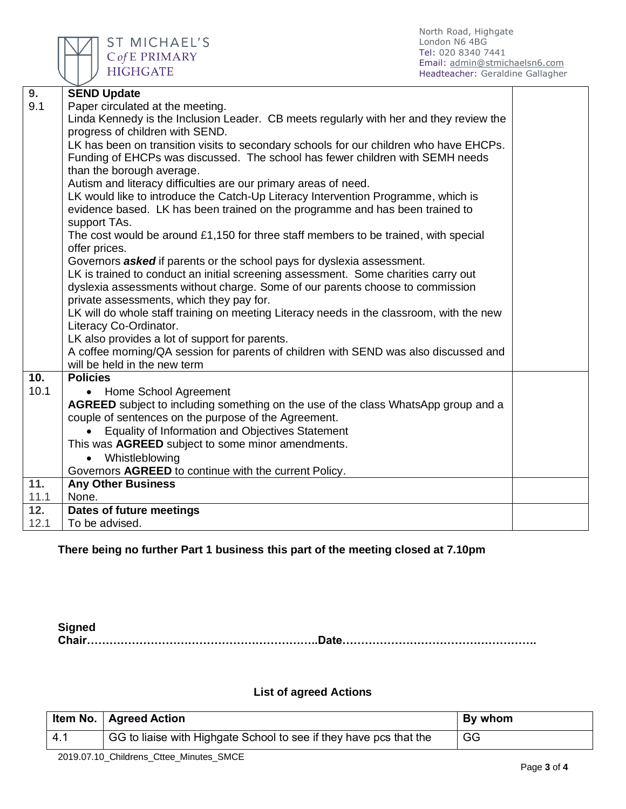

ST MICHAEL'S C of E PRIMARY **HIGHGATE** 

| 9.   | <b>SEND Update</b>                                                                        |  |
|------|-------------------------------------------------------------------------------------------|--|
| 9.1  | Paper circulated at the meeting.                                                          |  |
|      | Linda Kennedy is the Inclusion Leader. CB meets regularly with her and they review the    |  |
|      | progress of children with SEND.                                                           |  |
|      | LK has been on transition visits to secondary schools for our children who have EHCPs.    |  |
|      | Funding of EHCPs was discussed. The school has fewer children with SEMH needs             |  |
|      | than the borough average.                                                                 |  |
|      | Autism and literacy difficulties are our primary areas of need.                           |  |
|      | LK would like to introduce the Catch-Up Literacy Intervention Programme, which is         |  |
|      | evidence based. LK has been trained on the programme and has been trained to              |  |
|      | support TAs.                                                                              |  |
|      | The cost would be around £1,150 for three staff members to be trained, with special       |  |
|      | offer prices.                                                                             |  |
|      | Governors <b>asked</b> if parents or the school pays for dyslexia assessment.             |  |
|      | LK is trained to conduct an initial screening assessment. Some charities carry out        |  |
|      | dyslexia assessments without charge. Some of our parents choose to commission             |  |
|      | private assessments, which they pay for.                                                  |  |
|      | LK will do whole staff training on meeting Literacy needs in the classroom, with the new  |  |
|      | Literacy Co-Ordinator.                                                                    |  |
|      | LK also provides a lot of support for parents.                                            |  |
|      | A coffee morning/QA session for parents of children with SEND was also discussed and      |  |
|      | will be held in the new term                                                              |  |
| 10.  | <b>Policies</b>                                                                           |  |
| 10.1 | • Home School Agreement                                                                   |  |
|      | <b>AGREED</b> subject to including something on the use of the class WhatsApp group and a |  |
|      | couple of sentences on the purpose of the Agreement.                                      |  |
|      | Equality of Information and Objectives Statement                                          |  |
|      | This was AGREED subject to some minor amendments.                                         |  |
|      | Whistleblowing<br>$\bullet$                                                               |  |
|      | Governors AGREED to continue with the current Policy.                                     |  |
| 11.  | <b>Any Other Business</b>                                                                 |  |
| 11.1 | None.                                                                                     |  |
| 12.  | Dates of future meetings                                                                  |  |
| 12.1 | To be advised.                                                                            |  |

## **There being no further Part 1 business this part of the meeting closed at 7.10pm**

**Signed Chair……………………………………………………..Date…………………………………………….**

### **List of agreed Actions**

| GG<br>-4.1 | Item No.   Agreed Action                                                        | By whom |
|------------|---------------------------------------------------------------------------------|---------|
|            | <sup>1</sup> GG to liaise with Highgate School to see if they have pcs that the |         |